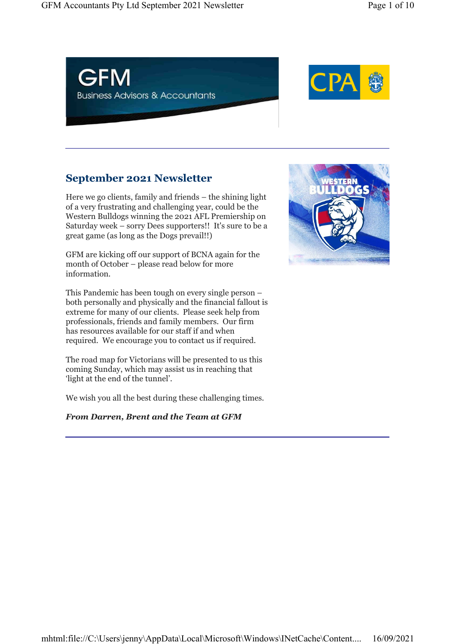



## September 2021 Newsletter

Here we go clients, family and friends – the shining light of a very frustrating and challenging year, could be the Western Bulldogs winning the 2021 AFL Premiership on Saturday week – sorry Dees supporters!! It's sure to be a great game (as long as the Dogs prevail!!)

GFM are kicking off our support of BCNA again for the month of October – please read below for more information.

This Pandemic has been tough on every single person – both personally and physically and the financial fallout is extreme for many of our clients. Please seek help from professionals, friends and family members. Our firm has resources available for our staff if and when required. We encourage you to contact us if required.

The road map for Victorians will be presented to us this coming Sunday, which may assist us in reaching that 'light at the end of the tunnel'.

We wish you all the best during these challenging times.

#### From Darren, Brent and the Team at GFM

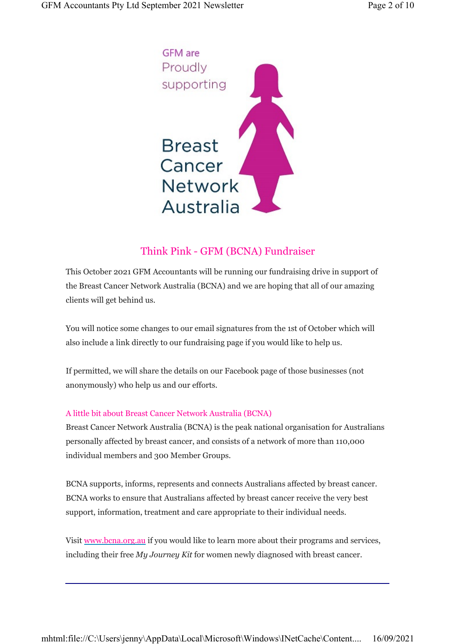

### Think Pink - GFM (BCNA) Fundraiser

This October 2021 GFM Accountants will be running our fundraising drive in support of the Breast Cancer Network Australia (BCNA) and we are hoping that all of our amazing clients will get behind us.

You will notice some changes to our email signatures from the 1st of October which will also include a link directly to our fundraising page if you would like to help us.

If permitted, we will share the details on our Facebook page of those businesses (not anonymously) who help us and our efforts.

#### A little bit about Breast Cancer Network Australia (BCNA)

Breast Cancer Network Australia (BCNA) is the peak national organisation for Australians personally affected by breast cancer, and consists of a network of more than 110,000 individual members and 300 Member Groups.

BCNA supports, informs, represents and connects Australians affected by breast cancer. BCNA works to ensure that Australians affected by breast cancer receive the very best support, information, treatment and care appropriate to their individual needs.

Visit www.bcna.org.au if you would like to learn more about their programs and services, including their free My Journey Kit for women newly diagnosed with breast cancer.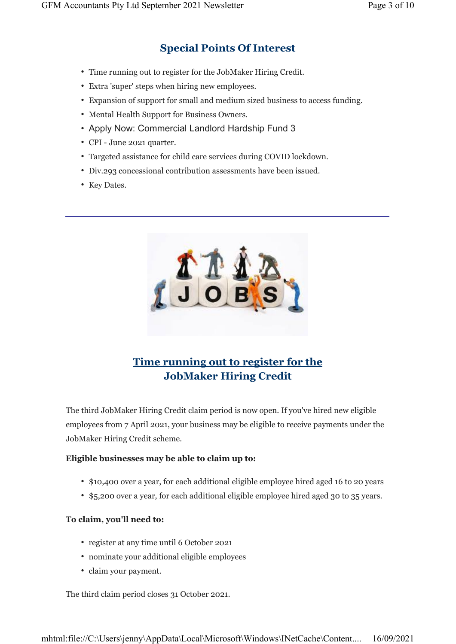## Special Points Of Interest

- Time running out to register for the JobMaker Hiring Credit.
- Extra 'super' steps when hiring new employees.
- Expansion of support for small and medium sized business to access funding.
- Mental Health Support for Business Owners.
- Apply Now: Commercial Landlord Hardship Fund 3
- CPI June 2021 quarter.
- Targeted assistance for child care services during COVID lockdown.
- Div.293 concessional contribution assessments have been issued.
- Key Dates.



# Time running out to register for the JobMaker Hiring Credit

The third JobMaker Hiring Credit claim period is now open. If you've hired new eligible employees from 7 April 2021, your business may be eligible to receive payments under the JobMaker Hiring Credit scheme.

#### Eligible businesses may be able to claim up to:

- \$10,400 over a year, for each additional eligible employee hired aged 16 to 20 years
- \$5,200 over a year, for each additional eligible employee hired aged 30 to 35 years.

#### To claim, you'll need to:

- register at any time until 6 October 2021
- nominate your additional eligible employees
- claim your payment.

The third claim period closes 31 October 2021.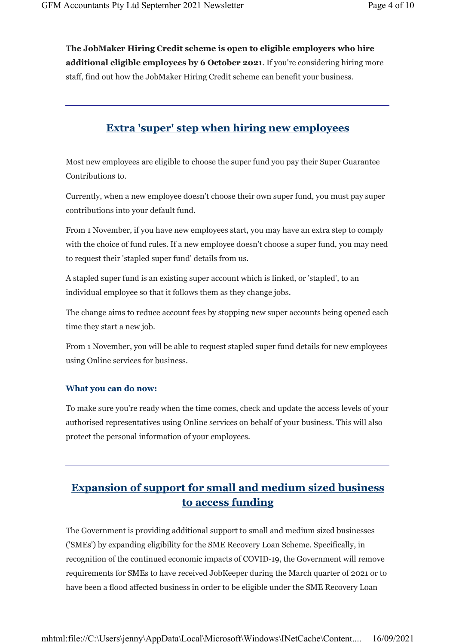The JobMaker Hiring Credit scheme is open to eligible employers who hire additional eligible employees by 6 October 2021. If you're considering hiring more staff, find out how the JobMaker Hiring Credit scheme can benefit your business.

### Extra 'super' step when hiring new employees

Most new employees are eligible to choose the super fund you pay their Super Guarantee Contributions to.

Currently, when a new employee doesn't choose their own super fund, you must pay super contributions into your default fund.

From 1 November, if you have new employees start, you may have an extra step to comply with the choice of fund rules. If a new employee doesn't choose a super fund, you may need to request their 'stapled super fund' details from us.

A stapled super fund is an existing super account which is linked, or 'stapled', to an individual employee so that it follows them as they change jobs.

The change aims to reduce account fees by stopping new super accounts being opened each time they start a new job.

From 1 November, you will be able to request stapled super fund details for new employees using Online services for business.

#### What you can do now:

To make sure you're ready when the time comes, check and update the access levels of your authorised representatives using Online services on behalf of your business. This will also protect the personal information of your employees.

## Expansion of support for small and medium sized business to access funding

The Government is providing additional support to small and medium sized businesses ('SMEs') by expanding eligibility for the SME Recovery Loan Scheme. Specifically, in recognition of the continued economic impacts of COVID-19, the Government will remove requirements for SMEs to have received JobKeeper during the March quarter of 2021 or to have been a flood affected business in order to be eligible under the SME Recovery Loan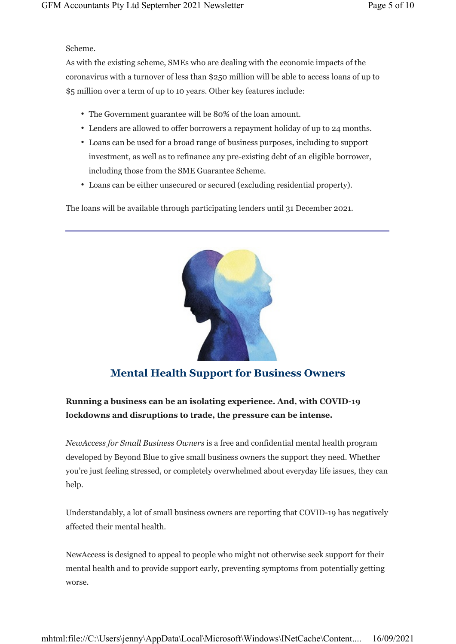Scheme.

As with the existing scheme, SMEs who are dealing with the economic impacts of the coronavirus with a turnover of less than \$250 million will be able to access loans of up to \$5 million over a term of up to 10 years. Other key features include:

- The Government guarantee will be 80% of the loan amount.
- Lenders are allowed to offer borrowers a repayment holiday of up to 24 months.
- Loans can be used for a broad range of business purposes, including to support investment, as well as to refinance any pre-existing debt of an eligible borrower, including those from the SME Guarantee Scheme.
- Loans can be either unsecured or secured (excluding residential property).

The loans will be available through participating lenders until 31 December 2021.



### Mental Health Support for Business Owners

### Running a business can be an isolating experience. And, with COVID-19 lockdowns and disruptions to trade, the pressure can be intense.

NewAccess for Small Business Owners is a free and confidential mental health program developed by Beyond Blue to give small business owners the support they need. Whether you're just feeling stressed, or completely overwhelmed about everyday life issues, they can help.

Understandably, a lot of small business owners are reporting that COVID-19 has negatively affected their mental health.

NewAccess is designed to appeal to people who might not otherwise seek support for their mental health and to provide support early, preventing symptoms from potentially getting worse.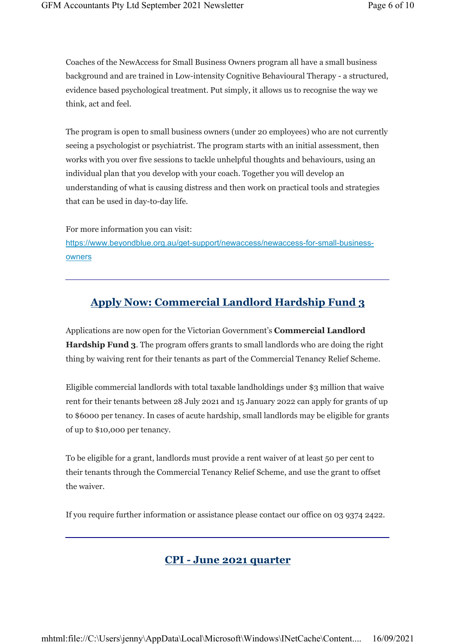Coaches of the NewAccess for Small Business Owners program all have a small business background and are trained in Low-intensity Cognitive Behavioural Therapy - a structured, evidence based psychological treatment. Put simply, it allows us to recognise the way we think, act and feel.

The program is open to small business owners (under 20 employees) who are not currently seeing a psychologist or psychiatrist. The program starts with an initial assessment, then works with you over five sessions to tackle unhelpful thoughts and behaviours, using an individual plan that you develop with your coach. Together you will develop an understanding of what is causing distress and then work on practical tools and strategies that can be used in day-to-day life.

For more information you can visit: https://www.beyondblue.org.au/get-support/newaccess/newaccess-for-small-businessowners

### Apply Now: Commercial Landlord Hardship Fund 3

Applications are now open for the Victorian Government's Commercial Landlord Hardship Fund 3. The program offers grants to small landlords who are doing the right thing by waiving rent for their tenants as part of the Commercial Tenancy Relief Scheme.

Eligible commercial landlords with total taxable landholdings under \$3 million that waive rent for their tenants between 28 July 2021 and 15 January 2022 can apply for grants of up to \$6000 per tenancy. In cases of acute hardship, small landlords may be eligible for grants of up to \$10,000 per tenancy.

To be eligible for a grant, landlords must provide a rent waiver of at least 50 per cent to their tenants through the Commercial Tenancy Relief Scheme, and use the grant to offset the waiver.

If you require further information or assistance please contact our office on 03 9374 2422.

#### CPI - June 2021 quarter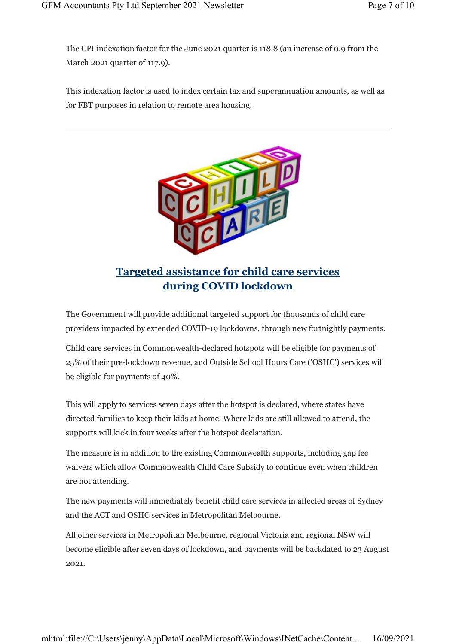The CPI indexation factor for the June 2021 quarter is 118.8 (an increase of 0.9 from the March 2021 quarter of 117.9).

This indexation factor is used to index certain tax and superannuation amounts, as well as for FBT purposes in relation to remote area housing.



during COVID lockdown

The Government will provide additional targeted support for thousands of child care providers impacted by extended COVID-19 lockdowns, through new fortnightly payments.

Child care services in Commonwealth-declared hotspots will be eligible for payments of 25% of their pre-lockdown revenue, and Outside School Hours Care ('OSHC') services will be eligible for payments of 40%.

This will apply to services seven days after the hotspot is declared, where states have directed families to keep their kids at home. Where kids are still allowed to attend, the supports will kick in four weeks after the hotspot declaration.

The measure is in addition to the existing Commonwealth supports, including gap fee waivers which allow Commonwealth Child Care Subsidy to continue even when children are not attending.

The new payments will immediately benefit child care services in affected areas of Sydney and the ACT and OSHC services in Metropolitan Melbourne.

All other services in Metropolitan Melbourne, regional Victoria and regional NSW will become eligible after seven days of lockdown, and payments will be backdated to 23 August 2021.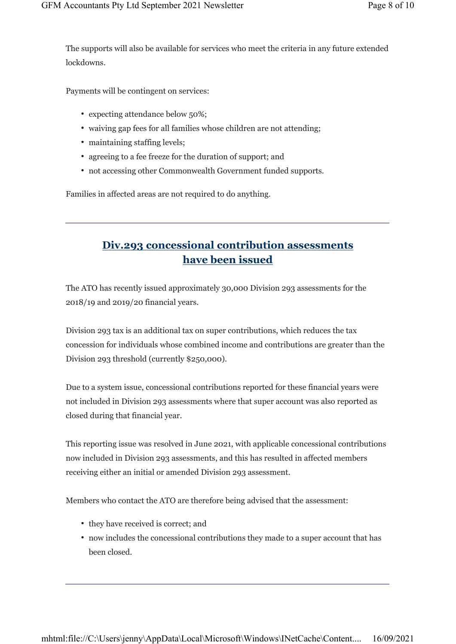The supports will also be available for services who meet the criteria in any future extended lockdowns.

Payments will be contingent on services:

- expecting attendance below 50%;
- waiving gap fees for all families whose children are not attending;
- maintaining staffing levels;
- agreeing to a fee freeze for the duration of support; and
- not accessing other Commonwealth Government funded supports.

Families in affected areas are not required to do anything.

### Div.293 concessional contribution assessments have been issued

The ATO has recently issued approximately 30,000 Division 293 assessments for the 2018/19 and 2019/20 financial years.

Division 293 tax is an additional tax on super contributions, which reduces the tax concession for individuals whose combined income and contributions are greater than the Division 293 threshold (currently \$250,000).

Due to a system issue, concessional contributions reported for these financial years were not included in Division 293 assessments where that super account was also reported as closed during that financial year.

This reporting issue was resolved in June 2021, with applicable concessional contributions now included in Division 293 assessments, and this has resulted in affected members receiving either an initial or amended Division 293 assessment.

Members who contact the ATO are therefore being advised that the assessment:

- they have received is correct; and
- now includes the concessional contributions they made to a super account that has been closed.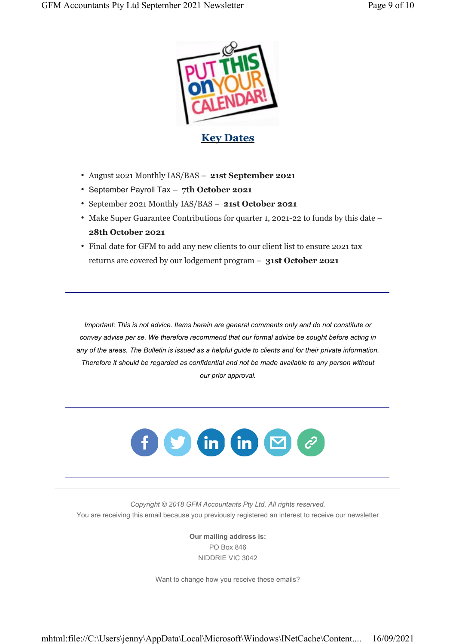

- August 2021 Monthly IAS/BAS 21st September 2021
- September Payroll Tax 7th October 2021
- September 2021 Monthly IAS/BAS 21st October 2021
- Make Super Guarantee Contributions for quarter 1, 2021-22 to funds by this date 28th October 2021
- Final date for GFM to add any new clients to our client list to ensure 2021 tax returns are covered by our lodgement program – 31st October 2021

Important: This is not advice. Items herein are general comments only and do not constitute or convey advise per se. We therefore recommend that our formal advice be sought before acting in any of the areas. The Bulletin is issued as a helpful guide to clients and for their private information. Therefore it should be regarded as confidential and not be made available to any person without our prior approval.



Copyright © 2018 GFM Accountants Pty Ltd, All rights reserved. You are receiving this email because you previously registered an interest to receive our newsletter

> Our mailing address is: PO Box 846 NIDDRIE VIC 3042

Want to change how you receive these emails?